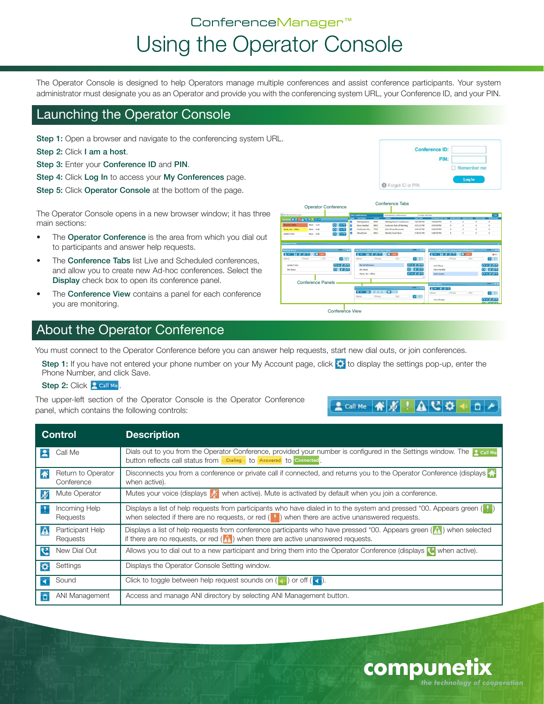# ConferenceManager™ Using the Operator Console

The Operator Console is designed to help Operators manage multiple conferences and assist conference participants. Your system administrator must designate you as an Operator and provide you with the conferencing system URL, your Conference ID, and your PIN.

### Launching the Operator Console

Step 1: Open a browser and navigate to the conferencing system URL.

Step 2: Click I am a host.

Step 3: Enter your Conference ID and PIN.

Step 4: Click Log In to access your My Conferences page.

Step 5: Click Operator Console at the bottom of the page.

The Operator Console opens in a new browser window; it has three main sections:

- The Operator Conference is the area from which you dial out to participants and answer help requests.
- The **Conference Tabs** list Live and Scheduled conferences, and allow you to create new Ad-hoc conferences. Select the **Display** check box to open its conference panel.
- The Conference View contains a panel for each conference you are monitoring.

## About the Operator Conference

You must connect to the Operator Conference before you can answer help requests, start new dial outs, or join conferences.

Step 1: If you have not entered your phone number on your My Account page, click  $\bullet$  to display the settings pop-up, enter the Phone Number, and click Save.

#### Step 2: Click **2 Call Me**

The upper-left section of the Operator Console is the Operator Conference panel, which contains the following controls:

 $2^{\text{call Me}} \mathbf{A} \mathbf{B} \cdot \mathbf{A} \mathbf{C} \mathbf{B} + \mathbf{A} \mathbf{A} \mathbf{A} \mathbf{A}$ 

| <b>Control</b> |                                  | <b>Description</b>                                                                                                                                                                                                                                             |
|----------------|----------------------------------|----------------------------------------------------------------------------------------------------------------------------------------------------------------------------------------------------------------------------------------------------------------|
|                | Call Me                          | Dials out to you from the Operator Conference, provided your number is configured in the Settings window. The<br>button reflects call status from <b>Dialing</b> to <b>Answered</b> to Connected                                                               |
| Ω              | Return to Operator<br>Conference | Disconnects you from a conference or private call if connected, and returns you to the Operator Conference (displays<br>when active).                                                                                                                          |
| ¥              | Mute Operator                    | Mutes your voice (displays $\sqrt{\frac{1}{2}}$ when active). Mute is activated by default when you join a conference.                                                                                                                                         |
|                | Incoming Help<br>Requests        | Displays a list of help requests from participants who have dialed in to the system and pressed *00. Appears green $\begin{pmatrix} 1 \\ 1 \end{pmatrix}$<br>when selected if there are no requests, or red $($ $)$ when there are active unanswered requests. |
| 79             | Participant Help<br>Requests     | Displays a list of help requests from conference participants who have pressed $*00$ . Appears green ( $\bigwedge$ ) when selected<br>if there are no requests, or red $($ $)$ when there are active unanswered requests.                                      |
| V              | New Dial Out                     | Allows you to dial out to a new participant and bring them into the Operator Conference (displays when active).                                                                                                                                                |
| ۰              | Settings                         | Displays the Operator Console Setting window.                                                                                                                                                                                                                  |
|                | Sound                            | Click to toggle between help request sounds on $($ $\bullet$ $)$ or off $($ $\bullet$ $)$ .                                                                                                                                                                    |
|                | ANI Management                   | Access and manage ANI directory by selecting ANI Management button.                                                                                                                                                                                            |